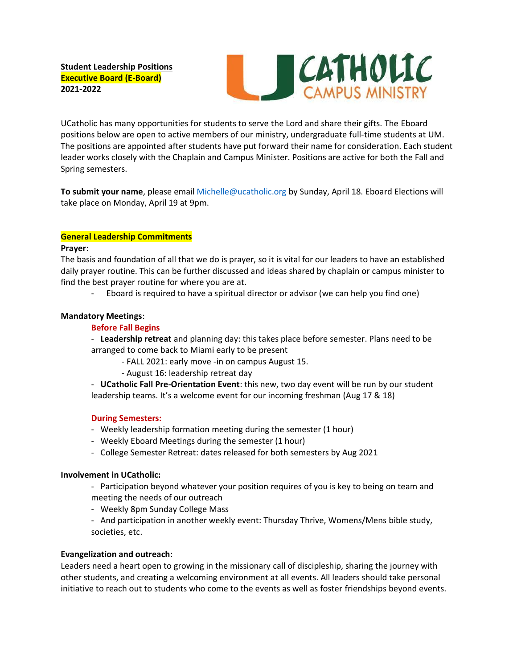**Student Leadership Positions Executive Board (E-Board) 2021-2022**



UCatholic has many opportunities for students to serve the Lord and share their gifts. The Eboard positions below are open to active members of our ministry, undergraduate full-time students at UM. The positions are appointed after students have put forward their name for consideration. Each student leader works closely with the Chaplain and Campus Minister. Positions are active for both the Fall and Spring semesters.

**To submit your name**, please email [Michelle@ucatholic.org](mailto:Michelle@ucatholic.org) by Sunday, April 18. Eboard Elections will take place on Monday, April 19 at 9pm.

# **General Leadership Commitments**

#### **Prayer**:

The basis and foundation of all that we do is prayer, so it is vital for our leaders to have an established daily prayer routine. This can be further discussed and ideas shared by chaplain or campus minister to find the best prayer routine for where you are at.

- Eboard is required to have a spiritual director or advisor (we can help you find one)

### **Mandatory Meetings**:

### **Before Fall Begins**

- **Leadership retreat** and planning day: this takes place before semester. Plans need to be arranged to come back to Miami early to be present

- FALL 2021: early move -in on campus August 15.
- August 16: leadership retreat day

- **UCatholic Fall Pre-Orientation Event**: this new, two day event will be run by our student leadership teams. It's a welcome event for our incoming freshman (Aug 17 & 18)

#### **During Semesters:**

- Weekly leadership formation meeting during the semester (1 hour)
- Weekly Eboard Meetings during the semester (1 hour)
- College Semester Retreat: dates released for both semesters by Aug 2021

#### **Involvement in UCatholic:**

- Participation beyond whatever your position requires of you is key to being on team and meeting the needs of our outreach

- Weekly 8pm Sunday College Mass

- And participation in another weekly event: Thursday Thrive, Womens/Mens bible study, societies, etc.

#### **Evangelization and outreach**:

Leaders need a heart open to growing in the missionary call of discipleship, sharing the journey with other students, and creating a welcoming environment at all events. All leaders should take personal initiative to reach out to students who come to the events as well as foster friendships beyond events.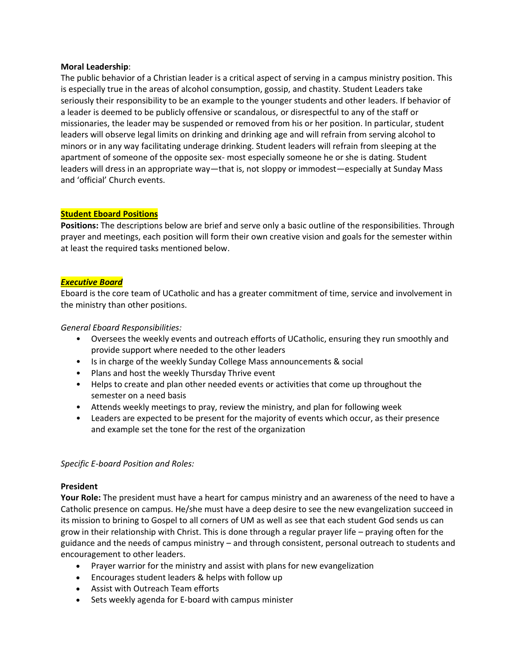### **Moral Leadership**:

The public behavior of a Christian leader is a critical aspect of serving in a campus ministry position. This is especially true in the areas of alcohol consumption, gossip, and chastity. Student Leaders take seriously their responsibility to be an example to the younger students and other leaders. If behavior of a leader is deemed to be publicly offensive or scandalous, or disrespectful to any of the staff or missionaries, the leader may be suspended or removed from his or her position. In particular, student leaders will observe legal limits on drinking and drinking age and will refrain from serving alcohol to minors or in any way facilitating underage drinking. Student leaders will refrain from sleeping at the apartment of someone of the opposite sex- most especially someone he or she is dating. Student leaders will dress in an appropriate way—that is, not sloppy or immodest—especially at Sunday Mass and 'official' Church events.

# **Student Eboard Positions**

**Positions:** The descriptions below are brief and serve only a basic outline of the responsibilities. Through prayer and meetings, each position will form their own creative vision and goals for the semester within at least the required tasks mentioned below.

### *Executive Board*

Eboard is the core team of UCatholic and has a greater commitment of time, service and involvement in the ministry than other positions.

### *General Eboard Responsibilities:*

- Oversees the weekly events and outreach efforts of UCatholic, ensuring they run smoothly and provide support where needed to the other leaders
- Is in charge of the weekly Sunday College Mass announcements & social
- Plans and host the weekly Thursday Thrive event
- Helps to create and plan other needed events or activities that come up throughout the semester on a need basis
- Attends weekly meetings to pray, review the ministry, and plan for following week
- Leaders are expected to be present for the majority of events which occur, as their presence and example set the tone for the rest of the organization

# *Specific E-board Position and Roles:*

#### **President**

**Your Role:** The president must have a heart for campus ministry and an awareness of the need to have a Catholic presence on campus. He/she must have a deep desire to see the new evangelization succeed in its mission to brining to Gospel to all corners of UM as well as see that each student God sends us can grow in their relationship with Christ. This is done through a regular prayer life – praying often for the guidance and the needs of campus ministry – and through consistent, personal outreach to students and encouragement to other leaders.

- Prayer warrior for the ministry and assist with plans for new evangelization
- Encourages student leaders & helps with follow up
- Assist with Outreach Team efforts
- Sets weekly agenda for E-board with campus minister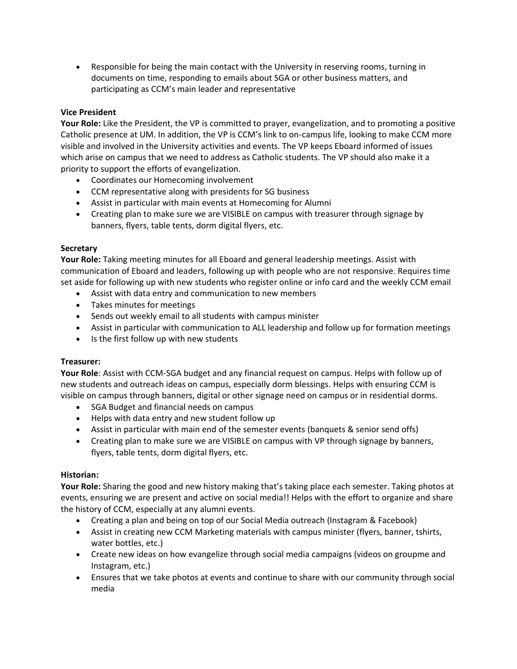• Responsible for being the main contact with the University in reserving rooms, turning in documents on time, responding to emails about SGA or other business matters, and participating as CCM's main leader and representative

# **Vice President**

**Your Role:** Like the President, the VP is committed to prayer, evangelization, and to promoting a positive Catholic presence at UM. In addition, the VP is CCM's link to on-campus life, looking to make CCM more visible and involved in the University activities and events. The VP keeps Eboard informed of issues which arise on campus that we need to address as Catholic students. The VP should also make it a priority to support the efforts of evangelization.

- Coordinates our Homecoming involvement
- CCM representative along with presidents for SG business
- Assist in particular with main events at Homecoming for Alumni
- Creating plan to make sure we are VISIBLE on campus with treasurer through signage by banners, flyers, table tents, dorm digital flyers, etc.

### **Secretary**

**Your Role:** Taking meeting minutes for all Eboard and general leadership meetings. Assist with communication of Eboard and leaders, following up with people who are not responsive. Requires time set aside for following up with new students who register online or info card and the weekly CCM email

- Assist with data entry and communication to new members
- Takes minutes for meetings
- Sends out weekly email to all students with campus minister
- Assist in particular with communication to ALL leadership and follow up for formation meetings
- Is the first follow up with new students

# **Treasurer:**

**Your Role**: Assist with CCM-SGA budget and any financial request on campus. Helps with follow up of new students and outreach ideas on campus, especially dorm blessings. Helps with ensuring CCM is visible on campus through banners, digital or other signage need on campus or in residential dorms.

- SGA Budget and financial needs on campus
- Helps with data entry and new student follow up
- Assist in particular with main end of the semester events (banquets & senior send offs)
- Creating plan to make sure we are VISIBLE on campus with VP through signage by banners, flyers, table tents, dorm digital flyers, etc.

# **Historian:**

**Your Role:** Sharing the good and new history making that's taking place each semester. Taking photos at events, ensuring we are present and active on social media!! Helps with the effort to organize and share the history of CCM, especially at any alumni events.

- Creating a plan and being on top of our Social Media outreach (Instagram & Facebook)
- Assist in creating new CCM Marketing materials with campus minister (flyers, banner, tshirts, water bottles, etc.)
- Create new ideas on how evangelize through social media campaigns (videos on groupme and Instagram, etc.)
- Ensures that we take photos at events and continue to share with our community through social media